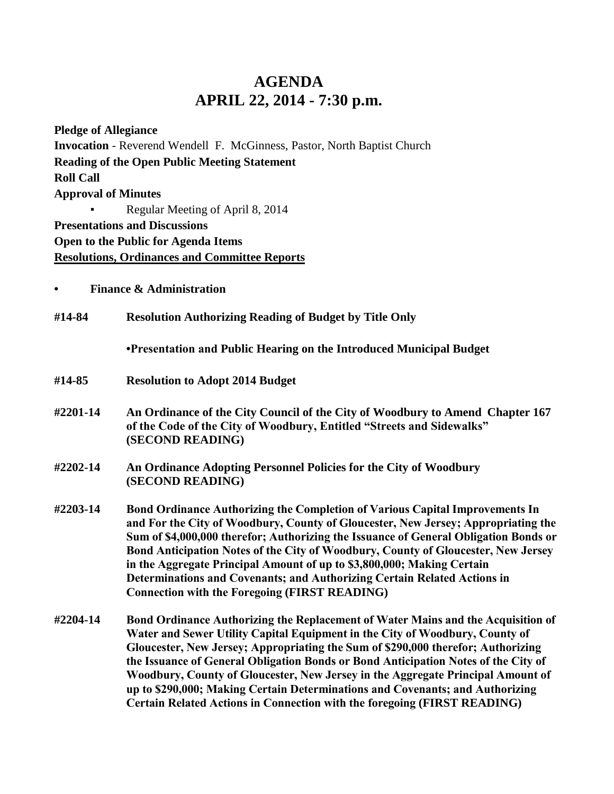## **AGENDA APRIL 22, 2014 - 7:30 p.m.**

**Pledge of Allegiance Invocation** - Reverend Wendell F. McGinness, Pastor, North Baptist Church **Reading of the Open Public Meeting Statement Roll Call Approval of Minutes** Regular Meeting of April 8, 2014 **Presentations and Discussions Open to the Public for Agenda Items Resolutions, Ordinances and Committee Reports**

**• Finance & Administration**

**#14-84 Resolution Authorizing Reading of Budget by Title Only**

**•Presentation and Public Hearing on the Introduced Municipal Budget**

- **#14-85 Resolution to Adopt 2014 Budget**
- **#2201-14 An Ordinance of the City Council of the City of Woodbury to Amend Chapter 167 of the Code of the City of Woodbury, Entitled "Streets and Sidewalks" (SECOND READING)**
- **#2202-14 An Ordinance Adopting Personnel Policies for the City of Woodbury (SECOND READING)**
- **#2203-14 Bond Ordinance Authorizing the Completion of Various Capital Improvements In and For the City of Woodbury, County of Gloucester, New Jersey; Appropriating the Sum of \$4,000,000 therefor; Authorizing the Issuance of General Obligation Bonds or Bond Anticipation Notes of the City of Woodbury, County of Gloucester, New Jersey in the Aggregate Principal Amount of up to \$3,800,000; Making Certain Determinations and Covenants; and Authorizing Certain Related Actions in Connection with the Foregoing (FIRST READING)**
- **#2204-14 Bond Ordinance Authorizing the Replacement of Water Mains and the Acquisition of Water and Sewer Utility Capital Equipment in the City of Woodbury, County of Gloucester, New Jersey; Appropriating the Sum of \$290,000 therefor; Authorizing the Issuance of General Obligation Bonds or Bond Anticipation Notes of the City of Woodbury, County of Gloucester, New Jersey in the Aggregate Principal Amount of up to \$290,000; Making Certain Determinations and Covenants; and Authorizing Certain Related Actions in Connection with the foregoing (FIRST READING)**